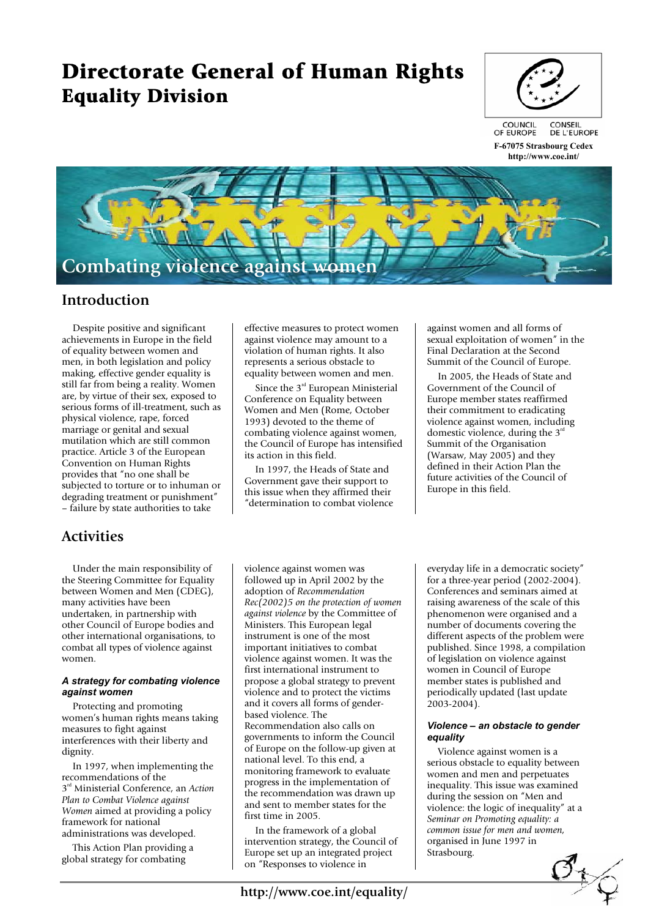# **Directorate General of Human Rights Equality Division**



**F-67075 Strasbourg Cedex http://www.coe.int/** 



### **Introduction**

 Despite positive and significant achievements in Europe in the field of equality between women and men, in both legislation and policy making, effective gender equality is still far from being a reality. Women are, by virtue of their sex, exposed to serious forms of ill-treatment, such as physical violence, rape, forced marriage or genital and sexual mutilation which are still common practice. Article 3 of the European Convention on Human Rights provides that "no one shall be subjected to torture or to inhuman or degrading treatment or punishment" – failure by state authorities to take

## **Activities**

 Under the main responsibility of the Steering Committee for Equality between Women and Men (CDEG), many activities have been undertaken, in partnership with other Council of Europe bodies and other international organisations, to combat all types of violence against women.

### *A strategy for combating violence against women*

 Protecting and promoting women's human rights means taking measures to fight against interferences with their liberty and dignity.

 In 1997, when implementing the recommendations of the 3rd Ministerial Conference, an *Action Plan to Combat Violence against Women* aimed at providing a policy framework for national administrations was developed.

 This Action Plan providing a global strategy for combating

effective measures to protect women against violence may amount to a violation of human rights. It also represents a serious obstacle to equality between women and men.

Since the 3<sup>rd</sup> European Ministerial Conference on Equality between Women and Men (Rome, October 1993) devoted to the theme of combating violence against women, the Council of Europe has intensified its action in this field.

 In 1997, the Heads of State and Government gave their support to this issue when they affirmed their "determination to combat violence

against women and all forms of sexual exploitation of women" in the Final Declaration at the Second Summit of the Council of Europe.

 In 2005, the Heads of State and Government of the Council of Europe member states reaffirmed their commitment to eradicating violence against women, including domestic violence, during the  $3<sup>rd</sup>$ Summit of the Organisation (Warsaw, May 2005) and they defined in their Action Plan the future activities of the Council of Europe in this field.

violence against women was followed up in April 2002 by the adoption of *Recommendation Rec(2002)5 on the protection of women against violence* by the Committee of Ministers. This European legal instrument is one of the most important initiatives to combat violence against women. It was the first international instrument to propose a global strategy to prevent violence and to protect the victims and it covers all forms of genderbased violence. The Recommendation also calls on governments to inform the Council of Europe on the follow-up given at national level. To this end, a monitoring framework to evaluate progress in the implementation of the recommendation was drawn up and sent to member states for the first time in 2005.

 In the framework of a global intervention strategy, the Council of Europe set up an integrated project on "Responses to violence in

everyday life in a democratic society" for a three-year period (2002-2004). Conferences and seminars aimed at raising awareness of the scale of this phenomenon were organised and a number of documents covering the different aspects of the problem were published. Since 1998, a compilation of legislation on violence against women in Council of Europe member states is published and periodically updated (last update 2003-2004).

#### *Violence – an obstacle to gender equality*

 Violence against women is a serious obstacle to equality between women and men and perpetuates inequality. This issue was examined during the session on "Men and violence: the logic of inequality" at a *Seminar on Promoting equality: a common issue for men and women,* organised in June 1997 in Strasbourg.